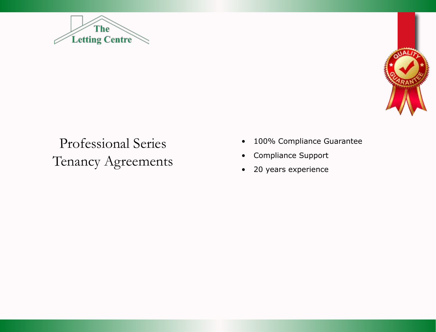



# Professional Series Tenancy Agreements

- • 100% Compliance Guarantee
- • Compliance Support
- • 20 years experience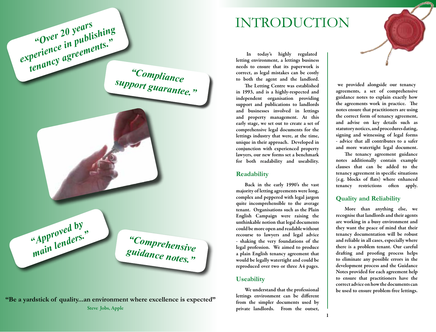## INTRODUCTION



*"Compliance support guarantee."*

> *"Comprehensive guidance notes."*

**"Be a yardstick of quality...an environment where excellence is expected"** Steve Jobs, Apple

*"Approved by main lenders."*

*"Over 20 years experience in publishing* 

*tenancy agreements."*

In today's highly regulated letting environment, a lettings business needs to ensure that its paperwork is correct, as legal mistakes can be costly to both the agent and the landlord.

The Letting Centre was established in 1993, and is a highly-respected and independent organisation providing support and publications to landlords and businesses involved in lettings and property management. At this early stage, we set out to create a set of comprehensive legal documents for the lettings industry that were, at the time, unique in their approach. Developed in conjunction with experienced property lawyers, our new forms set a benchmark for both readability and useability.

#### **Readability**

Back in the early 1990's the vast majority of letting agreements were long, complex and peppered with legal jargon quite incomprehensible to the average tenant. Organisations such as the Plain English Campaign were raising the unthinkable notion that legal documents could be more open and readable without recourse to lawyers and legal advice - shaking the very foundations of the legal profession. We aimed to produce a plain English tenancy agreement that would be legally watertight and could be reproduced over two or three A4 pages.

#### **Useability**

We understand that the professional lettings environment can be different from the simpler documents used by private landlords. From the outset,

we provided alongside our tenancy agreements, a set of comprehensive guidance notes to explain exactly how the agreements work in practice. The notes ensure that practitioners are using the correct form of tenancy agreement, and advise on key details such as statutory notices, and procedures dating, signing and witnessing of legal forms - advice that all contributes to a safer and more watertight legal document.

The tenancy agreement guidance notes additionally contain example clauses that can be added to the tenancy agreement in specific situations (e.g. blocks of flats) where enhanced tenancy restrictions often apply.

### **Quality and Reliability**

More than anything else, we recognise that landlords and their agents are working in a busy environment and they want the peace of mind that their tenancy documentation will be robust and reliable in all cases, especially where there is a problem tenant. Our careful drafting and proofing process helps to eliminate any possible errors in the development process and the Guidance Notes provided for each agreement help to ensure that practitioners have the correct advice on how the documents can be used to ensure problem-free lettings.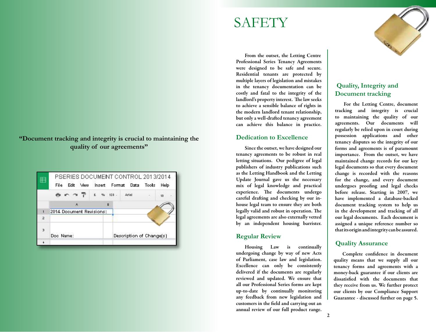### **"Document tracking and integrity is crucial to maintaining the quality of our agreements"**

|                         | PSERIES DOCUMENT CONTROL 2013/2014<br>Edit Mew<br>File |  |   | Insert Format Data Tools |  | Help |
|-------------------------|--------------------------------------------------------|--|---|--------------------------|--|------|
|                         | BCOTE % 123.                                           |  |   | Arlal                    |  | 10   |
|                         | A.                                                     |  | B |                          |  |      |
| ा                       | 2014 Document Revisions:                               |  |   |                          |  |      |
| $\overline{a}$          |                                                        |  |   |                          |  |      |
| $\overline{\mathbf{3}}$ | Doc Name:                                              |  |   | Description of Change[s] |  |      |
|                         |                                                        |  |   |                          |  |      |

# **SAFETY**

From the outset, the Letting Centre Professional Series Tenancy Agreements were designed to be safe and secure. Residential tenants are protected by multiple layers of legislation and mistakes in the tenancy documentation can be costly and fatal to the integrity of the landlord's property interest. The law seeks to achieve a sensible balance of rights in the modern landlord tenant relationship, but only a well-drafted tenancy agreement can achieve this balance in practice.

#### **Dedication to Excellence**

Since the outset, we have designed our tenancy agreements to be robust in real letting situations. Our pedigree of legal publishers of industry publications such as the Letting Handbook and the Letting Update Journal gave us the necessary mix of legal knowledge and practical experience. The documents undergo careful drafting and checking by our inhouse legal team to ensure they are both legally valid and robust in operation. The legal agreements are also externally vetted by an independent housing barrister.

#### **Regular Review**

Housing Law is continually undergoing change by way of new Acts of Parliament, case law and legislation. Excellence can only be consistently delivered if the documents are regularly reviewed and updated. We ensure that all our Professional Series forms are kept up-to-date by continually monitoring any feedback from new legislation and customers in the field and carrying out an annual review of our full product range.



### **Quality, Integrity and Document tracking**

For the Letting Centre, document tracking and integrity is crucial to maintaining the quality of our agreements. Our documents will regularly be relied upon in court during possession applications and other tenancy disputes so the integrity of our forms and agreements is of paramount importance. From the outset, we have maintained change records for our key legal documents so that every document change is recorded with the reasons for the change, and every document undergoes proofing and legal checks before release. Starting in 2007, we have implemented a database-backed document tracking system to help us in the development and tracking of all our legal documents. Each document is assigned a unique reference number so that its origin and integrity can be assured.

### **Quality Assurance**

Complete confidence in document quality means that we supply all our tenancy forms and agreements with a money-back guarantee if our clients are dissatisfied with the documents that they receive from us. We further protect our clients by our Compliance Support Guarantee - discussed further on page 5.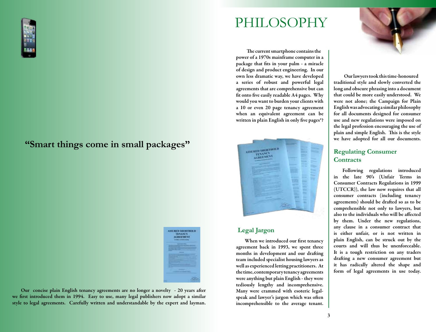

### **"Smart things come in small packages"**



Our concise plain English tenancy agreements are no longer a novelty - 20 years after we first introduced them in 1994. Easy to use, many legal publishers now adopt a similar style to legal agreements. Carefully written and understandable by the expert and layman.

# PHILOSOPHY

The current smartphone contains the power of a 1970s mainframe computer in a package that fits in your palm - a miracle of design and product engineering. In our own less dramatic way, we have developed a series of robust and powerful legal agreements that are comprehensive but can fit onto five easily readable A4 pages. Why would you want to burden your clients with a 10 or even 20 page tenancy agreement when an equivalent agreement can be written in plain English in only five pages\*?



#### **Legal Jargon**

When we introduced our first tenancy agreement back in 1993, we spent three months in development and our drafting team included specialist housing lawyers as well as experienced letting practitioners. At the time, contemporary tenancy agreements were anything but plain English - they were tediously lengthy and incomprehensive. Many were crammed with esoteric legalspeak and lawyer's jargon which was often incomprehensible to the average tenant.



Our lawyers took this time-honoured traditional style and slowly converted the long and obscure phrasing into a document that could be more easily understood. We were not alone; the Campaign for Plain English was advocating a similar philosophy for all documents designed for consumer use and new regulations were imposed on the legal profession encouraging the use of plain and simple English. This is the style we have adopted for all our documents.

### **Regulating Consumer Contracts**

Following regulations introduced in the late 90's (Unfair Terms in Consumer Contracts Regulations in 1999 (UTCCR)), the law now requires that all consumer contracts (including tenancy agreements) should be drafted so as to be comprehensible not only to lawyers, but also to the individuals who will be affected by them. Under the new regulations, any clause in a consumer contract that is either unfair, or is not written in plain English, can be struck out by the courts and will thus be unenforceable. It is a tough restriction on any traders drafting a new consumer agreement but it has radically altered the shape and form of legal agreements in use today.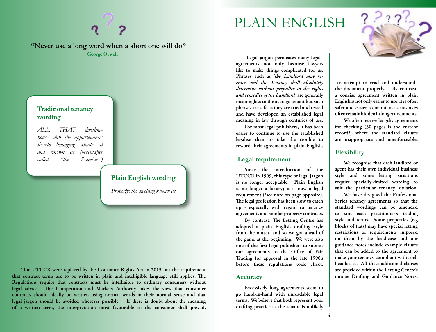



to attempt to read and understand the document properly. By contrast, a concise agreement written in plain English is not only easier to use, it is often safer and easier to maintain as mistakes often remain hidden in longer documents.

We often receive lengthy agreements for checking (30 pages is the current record!) where the standard clauses are inappropriate and unenforceable.

#### **Flexibility**

We recognise that each landlord or agent has their own individual business style and some letting situations require specially-drafted wording to suit the particular tenancy situation.

We have designed the Professional Series tenancy agreements so that the standard wordings can be amended to suit each practitioner's trading style and terms. Some properties (e.g blocks of flats) may have special letting restrictions or requirements imposed on them by the headlease and our guidance notes include example clauses that can be added to the agreement to make your tenancy compliant with such headleases. All these additional clauses are provided within the Letting Centre's unique Drafting and Guidance Notes.

Legal jargon permeates many legal agreements not only because lawyers like to make things complicated for us. Phrases such as *'the Landlord may reenter and the Tenancy shall absolutely determine without prejudice to the rights and remedies of the Landlord'* are generally meaningless to the average tenant but such phrases are safe as they are tried and tested and have developed an established legal meaning in law through centuries of use.

For most legal publishers, it has been easier to continue to use the established legalise than to take the trouble to reword their agreements in plain English.

#### **Legal requirement**

Since the introduction of the UTCCR in 1999, this type of legal jargon is no longer acceptable. Plain English is no longer a luxury; it is now a legal requirement (\*see note on page opposite). The legal profession has been slow to catch up - especially with regard to tenancy agreements and similar property contracts.

By contrast, The Letting Centre has adopted a plain English drafting style from the outset, and so we got ahead of the game at the beginning. We were also one of the first legal publishers to submit our agreements to the Office of Fair Trading for approval in the late 1990's before these regulations took effect.

#### **Accuracy**

Excessively long agreements seem to go hand-in-hand with unreadable legal terms. We believe that both represent poor drafting practice as the tenant is unlikely



**"Never use a long word when a short one will do"** George Orwell

#### **Traditional tenancy wording**

*ALL THAT dwellinghouse with the appurtenances thereto belonging situate at and known as (hereinafter called "the Premises")*

#### **Plain English wording**

*Property: the dwelling known as* 

\*The UTCCR were replaced by the Consumer Rights Act in 2015 but the requirement that contract terms are to be written in plain and intelligible language still applies. The Regulations require that contracts must be intelligible to ordinary consumers without legal advice. The Competition and Markets Authority takes the view that consumer contracts should ideally be written using normal words in their normal sense and that legal jargon should be avoided wherever possible. If there is doubt about the meaning of a written term, the interpretation most favourable to the consumer shall prevail.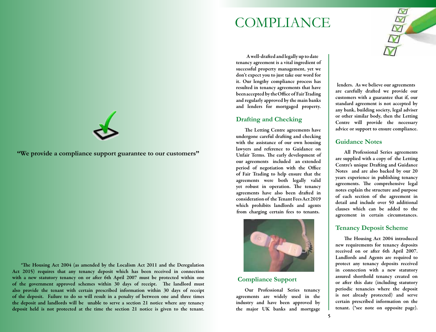## **COMPLIANCE**

A well-drafted and legally up to date tenancy agreement is a vital ingredient of successful property management, yet we don't expect you to just take our word for it. Our lengthy compliance process has resulted in tenancy agreements that have been accepted by the Office of Fair Trading and regularly approved by the main banks and lenders for mortgaged property.

#### **Drafting and Checking**

The Letting Centre agreements have undergone careful drafting and checking with the assistance of our own housing lawyers and reference to Guidance on Unfair Terms. The early development of our agreements included an extended period of negotiation with the Office of Fair Trading to help ensure that the agreements were both legally valid yet robust in operation. The tenancy agreements have also been drafted in consideration of the Tenant Fees Act 2019 which prohibits landlords and agents from charging certain fees to tenants.



### **Compliance Support**

Our Professional Series tenancy agreements are widely used in the industry and have been approved by the major UK banks and mortgage

lenders. As we believe our agreements are carefully drafted we provide our customers with a guarantee that if, our standard agreement is not accepted by any bank, building society, legal adviser or other similar body, then the Letting Centre will provide the necessary advice or support to ensure compliance.

#### **Guidance Notes**

All Professional Series agreements are supplied with a copy of the Letting Centre's unique Drafting and Guidance Notes and are also backed by our 20 years experience in publishing tenancy agreements. The comprehensive legal notes explain the structure and purpose of each section of the agreement in detail and include over 50 additional clauses which can be added to the agreement in certain circumstances.

#### **Tenancy Deposit Scheme**

The Housing Act 2004 introduced new requirements for tenancy deposits received on or after 6th April 2007. Landlords and Agents are required to protect any tenancy deposits received in connection with a new statutory assured shorthold tenancy created on or after this date (including statutory periodic tenancies where the deposit is not already protected) and serve certain prescribed information on the tenant. (\*see note on opposite page).



**"We provide a compliance support guarantee to our customers"**

\*The Housing Act 2004 (as amended by the Localism Act 2011 and the Deregulation Act 2015) requires that any tenancy deposit which has been received in connection with a new statutory tenancy on or after 6th April 2007 must be protected within one of the government approved schemes within 30 days of receipt. The landlord must also provide the tenant with certain prescribed information within 30 days of receipt of the deposit. Failure to do so will result in a penalty of between one and three times the deposit and landlords will be unable to serve a section 21 notice where any tenancy deposit held is not protected at the time the section 21 notice is given to the tenant.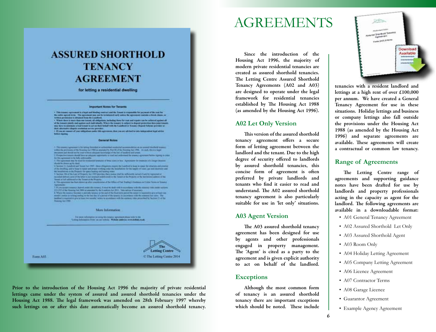## **ASSURED SHORTHOLD TENANCY AGREEMENT**

for letting a residential dwelling

#### **Important Notes for Tenants**

 $\sim$  100 mass appears to the first points and in the first state of the first of the ratio of the control of the state of the control of the control of the control of the control of the control of the control of the contr

plus attenutes digests rendated orning provides.<br>\* If you are some of your addition make this agreemen, then you are advised to take independent legal advice

#### **General Notes**

This second agreement is to being the state of a determined and only the second state of the second determined<br>The second state of the former of the second state of the second state of the second state of the second state<br> the treaty should have an advance reproducer at read and individual the treaty agreement feature agrees in one

 $\begin{minipage}{0.9\textwidth} \begin{minipage}{0.9\textwidth} \begin{itemize} \color{blue}{\textbf{1.5}} \color{black} & \color{blue}{\textbf{2.5}} \color{black} \color{blue}{\textbf{.5}} \color{black} & \color{blue}{\textbf{2.5}} \color{black} \color{blue}{\textbf{.5}} \color{black} & \color{blue}{\textbf{2.5}} \color{black} \color{blue}{\textbf{.5}} \color{black} & \color{blue}{\textbf{2.5}} \color{black} \color{blue}{\textbf{.5}} \color{black} & \color{blue}{\textbf{2.5}} \color{black} & \color{blue$ 

#### More Information

For more substitution on every title bookly equations plans to be the more than the first of the control of the control of the control of the control of the control of the control of the control of the control of the contr

Form A03

**Letting Centre** C The Letting Centre 2014

Prior to the introduction of the Housing Act 1996 the majority of private residential lettings came under the system of assured and assured shorthold tenancies under the Housing Act 1988. The legal framework was amended on 28th February 1997 whereby such lettings on or after this date automatically become an assured shorthold tenancy.

## AGREEMENTS

Since the introduction of the Housing Act 1996, the majority of modern private residential tenancies are created as assured shorthold tenancies. The Letting Centre Assured Shorthold Tenancy Agreements (A02 and A03) are designed to operate under the legal framework for residential tenancies established by The Housing Act 1988 (as amended by the Housing Act 1996).

#### **A02 Let Only Version**

This version of the assured shorthold tenancy agreement offers a secure form of letting agreement between the landlord and the tenant. Due to the high degree of security offered to landlords by assured shorthold tenancies, this concise form of agreement is often preferred by private landlords and tenants who find it easier to read and understand. The A02 assured shorthold tenancy agreement is also particularly suitable for use in 'let only' situations.

#### **A03 Agent Version**

The A03 assured shorthold tenancy agreement has been designed for use by agents and other professionals engaged in property management. The 'Agent' is cited as a party to the agreement and is given explicit authority to act on behalf of the landlord.

#### **Exceptions**

Although the most common form of tenancy is an assured shorthold tenancy there are important exceptions which should be noted. These include



tenancies with a resident landlord and lettings at a high rent of over £100,000 per annum. We have created a General Tenancy Agreement for use in these situations. Holiday lettings and business or company lettings also fall outside the provisions under the Housing Act 1988 (as amended by the Housing Act 1996) and separate agreements are available. These agreements will create a contractual or common law tenancy.

#### **Range of Agreements**

The Letting Centre range of agreements and supporting guidance notes have been drafted for use by landlords and property professionals acting in the capacity as agent for the landlord. The following agreements are available in a downloadable format:

- A01 General Tenancy Agreement
- A02 Assured Shorthold Let Only
- A03 Assured Shorthold Agent
- A03 Room Only
- A04 Holiday Letting Agreement
- A05 Company Letting Agreement
- A06 Licence Agreement
- A07 Contractor Terms
- A08 Garage Licence
- • Guarantor Agreement
- Example Agency Agreement